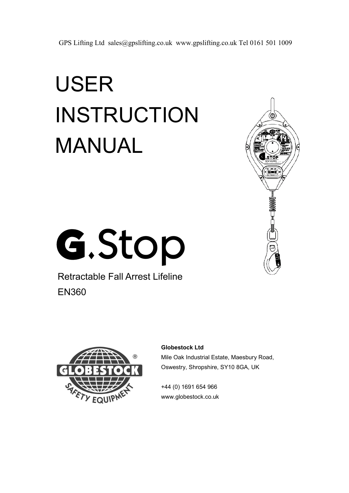# USER INSTRUCTION MANUAL



G.Stop

Retractable Fall Arrest Lifeline EN360



#### **Globestock Ltd**

Mile Oak Industrial Estate, Maesbury Road, Oswestry, Shropshire, SY10 8GA, UK

+44 (0) 1691 654 966 www.globestock.co.uk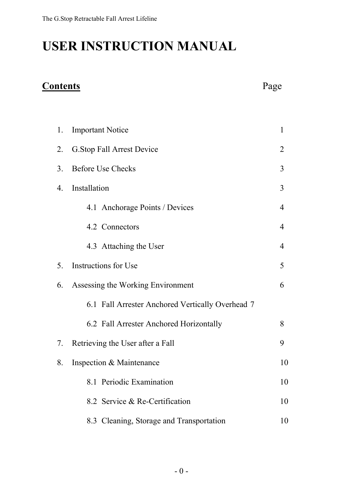# **USER INSTRUCTION MANUAL**

#### **Contents** Page

| 1. | <b>Important Notice</b>                          | $\mathbf{1}$   |
|----|--------------------------------------------------|----------------|
| 2. | <b>G.Stop Fall Arrest Device</b>                 | $\overline{2}$ |
| 3. | <b>Before Use Checks</b>                         | 3              |
| 4. | Installation                                     | 3              |
|    | 4.1 Anchorage Points / Devices                   | $\overline{4}$ |
|    | 4.2 Connectors                                   | $\overline{4}$ |
|    | 4.3 Attaching the User                           | 4              |
| 5. | Instructions for Use                             | 5              |
| 6. | Assessing the Working Environment                | 6              |
|    | 6.1 Fall Arrester Anchored Vertically Overhead 7 |                |
|    | 6.2 Fall Arrester Anchored Horizontally          | 8              |
| 7. | Retrieving the User after a Fall                 | 9              |
| 8. | Inspection & Maintenance                         | 10             |
|    | 8.1 Periodic Examination                         | 10             |
|    | 8.2 Service & Re-Certification                   | 10             |
|    | 8.3 Cleaning, Storage and Transportation         | 10             |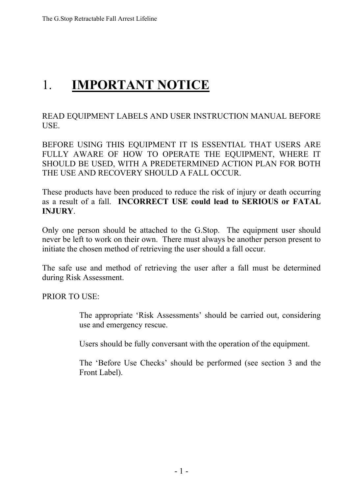# 1. **IMPORTANT NOTICE**

READ EQUIPMENT LABELS AND USER INSTRUCTION MANUAL BEFORE USE.

BEFORE USING THIS EQUIPMENT IT IS ESSENTIAL THAT USERS ARE FULLY AWARE OF HOW TO OPERATE THE EQUIPMENT, WHERE IT SHOULD BE USED, WITH A PREDETERMINED ACTION PLAN FOR BOTH THE USE AND RECOVERY SHOULD A FALL OCCUR.

These products have been produced to reduce the risk of injury or death occurring as a result of a fall. **INCORRECT USE could lead to SERIOUS or FATAL INJURY**.

Only one person should be attached to the G.Stop. The equipment user should never be left to work on their own. There must always be another person present to initiate the chosen method of retrieving the user should a fall occur.

The safe use and method of retrieving the user after a fall must be determined during Risk Assessment.

PRIOR TO USE:

The appropriate 'Risk Assessments' should be carried out, considering use and emergency rescue.

Users should be fully conversant with the operation of the equipment.

The 'Before Use Checks' should be performed (see section 3 and the Front Label).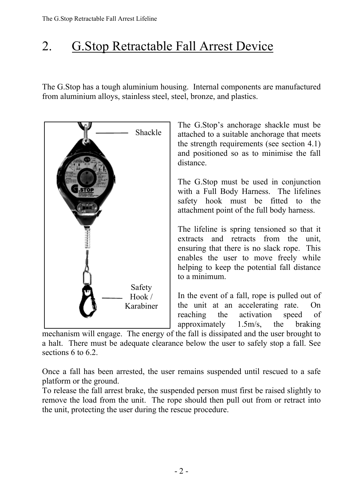# 2. G.Stop Retractable Fall Arrest Device

The G.Stop has a tough aluminium housing. Internal components are manufactured from aluminium alloys, stainless steel, steel, bronze, and plastics.



mechanism will engage. The energy of the fall is dissipated and the user brought to a halt. There must be adequate clearance below the user to safely stop a fall. See sections 6 to 6.2.

Once a fall has been arrested, the user remains suspended until rescued to a safe platform or the ground.

To release the fall arrest brake, the suspended person must first be raised slightly to remove the load from the unit. The rope should then pull out from or retract into the unit, protecting the user during the rescue procedure.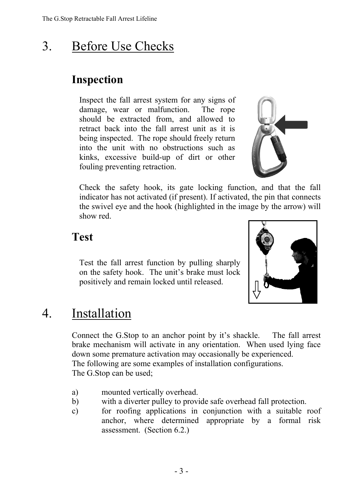# 3. Before Use Checks

#### **Inspection**

Inspect the fall arrest system for any signs of damage, wear or malfunction. The rope should be extracted from, and allowed to retract back into the fall arrest unit as it is being inspected. The rope should freely return into the unit with no obstructions such as kinks, excessive build-up of dirt or other fouling preventing retraction.



Check the safety hook, its gate locking function, and that the fall indicator has not activated (if present). If activated, the pin that connects the swivel eye and the hook (highlighted in the image by the arrow) will show red.

#### **Test**

Test the fall arrest function by pulling sharply on the safety hook. The unit's brake must lock positively and remain locked until released.



# 4. Installation

Connect the G.Stop to an anchor point by it's shackle. The fall arrest brake mechanism will activate in any orientation. When used lying face down some premature activation may occasionally be experienced. The following are some examples of installation configurations. The G.Stop can be used;

- a) mounted vertically overhead.
- b) with a diverter pulley to provide safe overhead fall protection.
- c) for roofing applications in conjunction with a suitable roof anchor, where determined appropriate by a formal risk assessment. (Section 6.2.)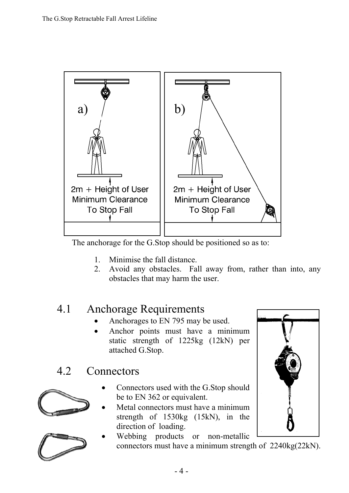

The anchorage for the G.Stop should be positioned so as to:

- 1. Minimise the fall distance.
- 2. Avoid any obstacles. Fall away from, rather than into, any obstacles that may harm the user.

#### 4.1 Anchorage Requirements

- Anchorages to EN 795 may be used.
- Anchor points must have a minimum static strength of 1225kg (12kN) per attached G.Stop.

#### 4.2 Connectors





- Connectors used with the G.Stop should be to EN 362 or equivalent.
- Metal connectors must have a minimum strength of 1530kg (15kN), in the direction of loading.
	- Webbing products or non-metallic connectors must have a minimum strength of 2240kg(22kN).

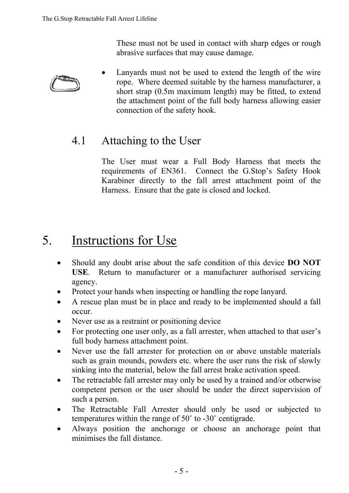These must not be used in contact with sharp edges or rough abrasive surfaces that may cause damage.



• Lanyards must not be used to extend the length of the wire rope. Where deemed suitable by the harness manufacturer, a short strap (0.5m maximum length) may be fitted, to extend the attachment point of the full body harness allowing easier connection of the safety hook.

#### 4.1 Attaching to the User

The User must wear a Full Body Harness that meets the requirements of EN361. Connect the G.Stop's Safety Hook Karabiner directly to the fall arrest attachment point of the Harness. Ensure that the gate is closed and locked.

# 5. Instructions for Use

- Should any doubt arise about the safe condition of this device **DO NOT USE**. Return to manufacturer or a manufacturer authorised servicing agency.
- Protect your hands when inspecting or handling the rope lanyard.
- A rescue plan must be in place and ready to be implemented should a fall occur.
- Never use as a restraint or positioning device
- For protecting one user only, as a fall arrester, when attached to that user's full body harness attachment point.
- Never use the fall arrester for protection on or above unstable materials such as grain mounds, powders etc. where the user runs the risk of slowly sinking into the material, below the fall arrest brake activation speed.
- The retractable fall arrester may only be used by a trained and/or otherwise competent person or the user should be under the direct supervision of such a person.
- The Retractable Fall Arrester should only be used or subjected to temperatures within the range of 50˚ to -30˚ centigrade.
- Always position the anchorage or choose an anchorage point that minimises the fall distance.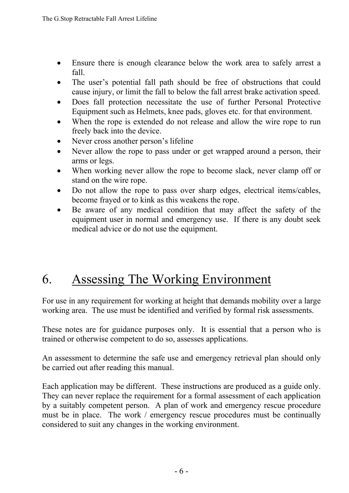- Ensure there is enough clearance below the work area to safely arrest a fall.
- The user's potential fall path should be free of obstructions that could cause injury, or limit the fall to below the fall arrest brake activation speed.
- Does fall protection necessitate the use of further Personal Protective Equipment such as Helmets, knee pads, gloves etc. for that environment.
- When the rope is extended do not release and allow the wire rope to run freely back into the device.
- Never cross another person's lifeline
- Never allow the rope to pass under or get wrapped around a person, their arms or legs.
- When working never allow the rope to become slack, never clamp off or stand on the wire rope.
- Do not allow the rope to pass over sharp edges, electrical items/cables, become frayed or to kink as this weakens the rope.
- Be aware of any medical condition that may affect the safety of the equipment user in normal and emergency use. If there is any doubt seek medical advice or do not use the equipment.

# 6. Assessing The Working Environment

For use in any requirement for working at height that demands mobility over a large working area. The use must be identified and verified by formal risk assessments.

These notes are for guidance purposes only. It is essential that a person who is trained or otherwise competent to do so, assesses applications.

An assessment to determine the safe use and emergency retrieval plan should only be carried out after reading this manual.

Each application may be different. These instructions are produced as a guide only. They can never replace the requirement for a formal assessment of each application by a suitably competent person. A plan of work and emergency rescue procedure must be in place. The work / emergency rescue procedures must be continually considered to suit any changes in the working environment.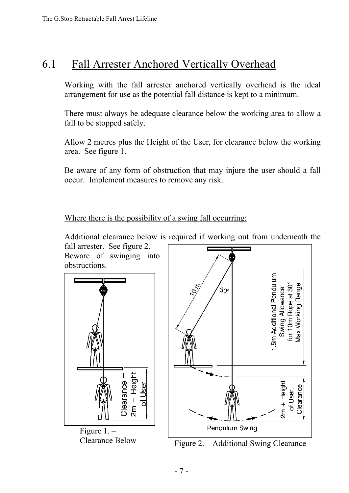#### 6.1 Fall Arrester Anchored Vertically Overhead

Working with the fall arrester anchored vertically overhead is the ideal arrangement for use as the potential fall distance is kept to a minimum.

There must always be adequate clearance below the working area to allow a fall to be stopped safely.

Allow 2 metres plus the Height of the User, for clearance below the working area. See figure 1.

Be aware of any form of obstruction that may injure the user should a fall occur. Implement measures to remove any risk.

Where there is the possibility of a swing fall occurring:

Additional clearance below is required if working out from underneath the

fall arrester. See figure 2. Beware of swinging into obstructions.



![](_page_8_Figure_10.jpeg)

Clearance Below Figure 2. – Additional Swing Clearance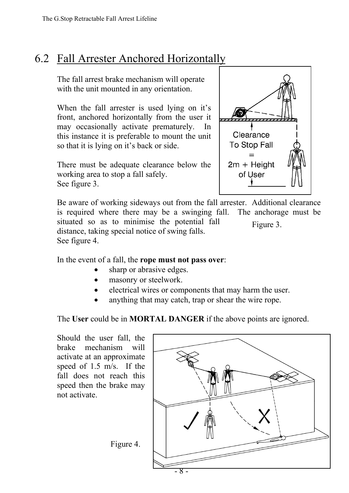#### 6.2 Fall Arrester Anchored Horizontally

The fall arrest brake mechanism will operate with the unit mounted in any orientation.

When the fall arrester is used lying on it's front, anchored horizontally from the user it may occasionally activate prematurely. In this instance it is preferable to mount the unit so that it is lying on it's back or side.

There must be adequate clearance below the working area to stop a fall safely. See figure 3.

![](_page_9_Picture_5.jpeg)

Be aware of working sideways out from the fall arrester. Additional clearance is required where there may be a swinging fall. The anchorage must be situated so as to minimise the potential fall distance, taking special notice of swing falls. See figure 4. Figure 3.

In the event of a fall, the **rope must not pass over**:

- sharp or abrasive edges.
- masonry or steelwork.
- electrical wires or components that may harm the user.
- anything that may catch, trap or shear the wire rope.

The **User** could be in **MORTAL DANGER** if the above points are ignored.

Should the user fall, the brake mechanism will activate at an approximate speed of 1.5 m/s. If the fall does not reach this speed then the brake may not activate.

![](_page_9_Figure_14.jpeg)

Figure 4.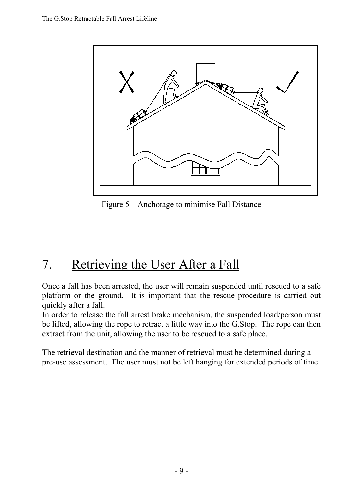![](_page_10_Figure_1.jpeg)

Figure 5 – Anchorage to minimise Fall Distance.

# 7. Retrieving the User After a Fall

Once a fall has been arrested, the user will remain suspended until rescued to a safe platform or the ground. It is important that the rescue procedure is carried out quickly after a fall.

In order to release the fall arrest brake mechanism, the suspended load/person must be lifted, allowing the rope to retract a little way into the G.Stop. The rope can then extract from the unit, allowing the user to be rescued to a safe place.

The retrieval destination and the manner of retrieval must be determined during a pre-use assessment. The user must not be left hanging for extended periods of time.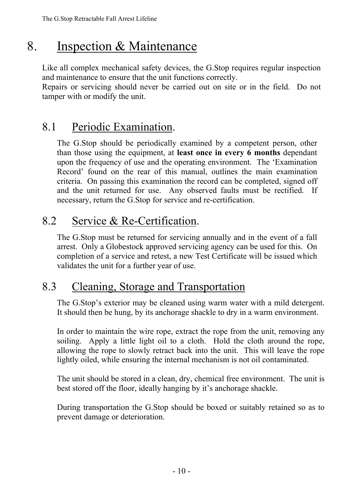## 8. Inspection & Maintenance

Like all complex mechanical safety devices, the G.Stop requires regular inspection and maintenance to ensure that the unit functions correctly.

Repairs or servicing should never be carried out on site or in the field. Do not tamper with or modify the unit.

#### 8.1 Periodic Examination.

The G.Stop should be periodically examined by a competent person, other than those using the equipment, at **least once in every 6 months** dependant upon the frequency of use and the operating environment. The 'Examination Record' found on the rear of this manual, outlines the main examination criteria. On passing this examination the record can be completed, signed off and the unit returned for use. Any observed faults must be rectified. If necessary, return the G.Stop for service and re-certification.

#### 8.2 Service & Re-Certification.

The G.Stop must be returned for servicing annually and in the event of a fall arrest. Only a Globestock approved servicing agency can be used for this. On completion of a service and retest, a new Test Certificate will be issued which validates the unit for a further year of use.

#### 8.3 Cleaning, Storage and Transportation

The G.Stop's exterior may be cleaned using warm water with a mild detergent. It should then be hung, by its anchorage shackle to dry in a warm environment.

In order to maintain the wire rope, extract the rope from the unit, removing any soiling. Apply a little light oil to a cloth. Hold the cloth around the rope, allowing the rope to slowly retract back into the unit. This will leave the rope lightly oiled, while ensuring the internal mechanism is not oil contaminated.

The unit should be stored in a clean, dry, chemical free environment. The unit is best stored off the floor, ideally hanging by it's anchorage shackle.

During transportation the G.Stop should be boxed or suitably retained so as to prevent damage or deterioration.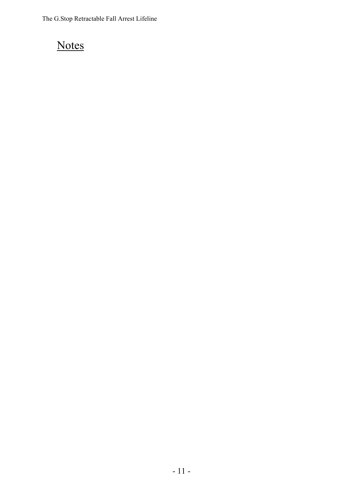### **Notes**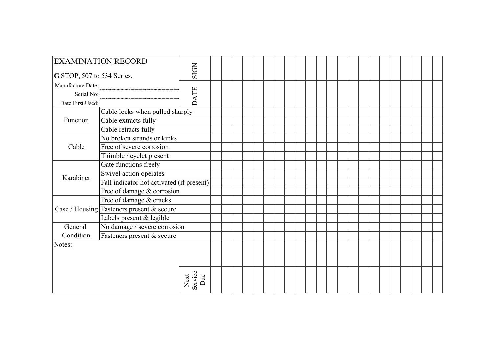| <b>EXAMINATION RECORD</b>               |                                           |                        |  |  |  |  |  |  |  |  |  |  |  |  |
|-----------------------------------------|-------------------------------------------|------------------------|--|--|--|--|--|--|--|--|--|--|--|--|
| G.STOP, 507 to 534 Series.              | <b>SIGN</b>                               |                        |  |  |  |  |  |  |  |  |  |  |  |  |
| Manufacture Date:                       |                                           |                        |  |  |  |  |  |  |  |  |  |  |  |  |
| Serial No:                              | <b>DATE</b>                               |                        |  |  |  |  |  |  |  |  |  |  |  |  |
| Date First Used:                        |                                           |                        |  |  |  |  |  |  |  |  |  |  |  |  |
|                                         | Cable locks when pulled sharply           |                        |  |  |  |  |  |  |  |  |  |  |  |  |
| Function                                | Cable extracts fully                      |                        |  |  |  |  |  |  |  |  |  |  |  |  |
|                                         | Cable retracts fully                      |                        |  |  |  |  |  |  |  |  |  |  |  |  |
|                                         | No broken strands or kinks                |                        |  |  |  |  |  |  |  |  |  |  |  |  |
| Cable                                   | Free of severe corrosion                  |                        |  |  |  |  |  |  |  |  |  |  |  |  |
|                                         | Thimble / eyelet present                  |                        |  |  |  |  |  |  |  |  |  |  |  |  |
|                                         | Gate functions freely                     |                        |  |  |  |  |  |  |  |  |  |  |  |  |
| Karabiner                               | Swivel action operates                    |                        |  |  |  |  |  |  |  |  |  |  |  |  |
|                                         | Fall indicator not activated (if present) |                        |  |  |  |  |  |  |  |  |  |  |  |  |
|                                         | Free of damage & corrosion                |                        |  |  |  |  |  |  |  |  |  |  |  |  |
|                                         | Free of damage & cracks                   |                        |  |  |  |  |  |  |  |  |  |  |  |  |
|                                         | Case / Housing Fasteners present & secure |                        |  |  |  |  |  |  |  |  |  |  |  |  |
|                                         | Labels present & legible                  |                        |  |  |  |  |  |  |  |  |  |  |  |  |
| No damage / severe corrosion<br>General |                                           |                        |  |  |  |  |  |  |  |  |  |  |  |  |
| Condition<br>Fasteners present & secure |                                           |                        |  |  |  |  |  |  |  |  |  |  |  |  |
| Notes:                                  |                                           |                        |  |  |  |  |  |  |  |  |  |  |  |  |
|                                         |                                           |                        |  |  |  |  |  |  |  |  |  |  |  |  |
|                                         |                                           |                        |  |  |  |  |  |  |  |  |  |  |  |  |
|                                         |                                           | Next<br>Service<br>Due |  |  |  |  |  |  |  |  |  |  |  |  |